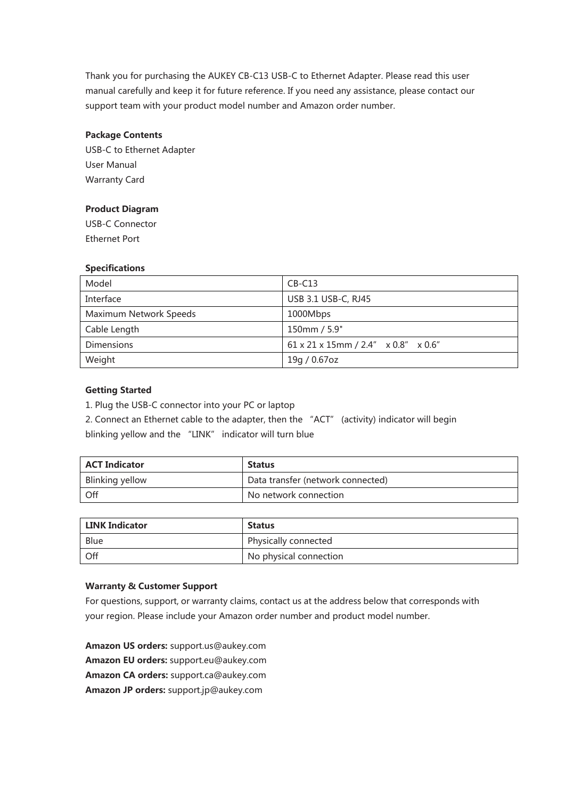Thank you for purchasing the AUKEY CB-C13 USB-C to Ethernet Adapter. Please read this user manual carefully and keep it for future reference. If you need any assistance, please contact our support team with your product model number and Amazon order number.

## **Package Contents**

USB-C to Ethernet Adapter User Manual Warranty Card

## **Product Diagram**

USB-C Connector Ethernet Port

#### **Specifications**

| Model                  | $CB-C13$                                                         |
|------------------------|------------------------------------------------------------------|
| Interface              | USB 3.1 USB-C, RJ45                                              |
| Maximum Network Speeds | 1000Mbps                                                         |
| Cable Length           | 150mm / 5.9"                                                     |
| <b>Dimensions</b>      | $61 \times 21 \times 15$ mm / 2.4" $\times 0.8$ " $\times 0.6$ " |
| Weight                 | 19g / 0.67oz                                                     |

# **Getting Started**

1. Plug the USB-C connector into your PC or laptop

2. Connect an Ethernet cable to the adapter, then the "ACT" (activity) indicator will begin

blinking yellow and the "LINK" indicator will turn blue

| <b>ACT Indicator</b> | <b>Status</b>                     |
|----------------------|-----------------------------------|
| Blinking yellow      | Data transfer (network connected) |
| Off                  | No network connection             |

| <b>LINK Indicator</b> | <b>Status</b>          |
|-----------------------|------------------------|
| Blue                  | Physically connected   |
| , Off                 | No physical connection |

## **Warranty & Customer Support**

For questions, support, or warranty claims, contact us at the address below that corresponds with your region. Please include your Amazon order number and product model number.

**Amazon US orders:** support.us@aukey.com **Amazon EU orders:** support.eu@aukey.com **Amazon CA orders:** support.ca@aukey.com **Amazon JP orders:** support.jp@aukey.com